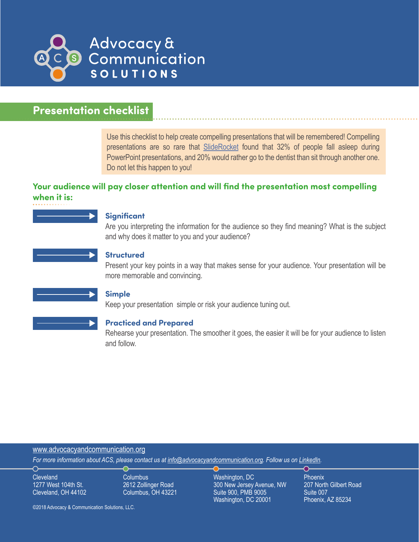

# **Presentation checklist**

Use this checklist to help create compelling presentations that will be remembered! Compelling presentations are so rare that [SlideRocket](http://www.sliderocket.com/blog/2012/12/death-by-powerpoint-no-sex-instead-of-powerpoint/) found that 32% of people fall asleep during PowerPoint presentations, and 20% would rather go to the dentist than sit through another one. Do not let this happen to you!

# **Your audience will pay closer attention and will find the presentation most compelling when it is:**

#### **Significant**

Are you interpreting the information for the audience so they find meaning? What is the subject and why does it matter to you and your audience?



#### **Structured**

Present your key points in a way that makes sense for your audience. Your presentation will be more memorable and convincing.

#### **Simple**

Keep your presentation simple or risk your audience tuning out.

#### **Practiced and Prepared**

Rehearse your presentation. The smoother it goes, the easier it will be for your audience to listen and follow.

#### www[.advocacyandcommunication.org](http://www.advocacyandcommunication.org/)

*For more information about ACS, please contact us at [info@advocacyandcommunication.org](mailto:info%40advocacyandcommunication.org?subject=). Follow us on [LinkedIn](https://www.linkedin.com/company/advocacy-&-communication-solutions-llc).* 

**Cleveland** 1277 West 104th St. Cleveland, OH 44102

⌒

Columbus 2612 Zollinger Road Columbus, OH 43221 Washington, DC 300 New Jersey Avenue, NW Suite 900, PMB 9005 Washington, DC 20001

Phoenix 207 North Gilbert Road Suite 007 Phoenix, AZ 85234

∩⊧

©2018 Advocacy & Communication Solutions, LLC.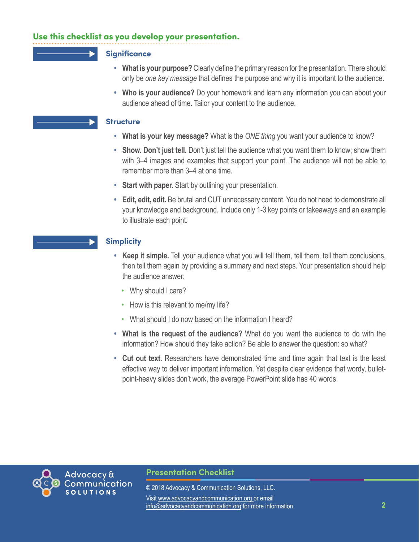# **Use this checklist as you develop your presentation.**

### **Significance**

- **• What is your purpose?** Clearly define the primary reason for the presentation. There should only be *one key message* that defines the purpose and why it is important to the audience.
- **• Who is your audience?** Do your homework and learn any information you can about your audience ahead of time. Tailor your content to the audience.

### **Structure**

- **• What is your key message?** What is the *ONE thing* you want your audience to know?
- **• Show. Don't just tell.** Don't just tell the audience what you want them to know; show them with 3–4 images and examples that support your point. The audience will not be able to remember more than 3–4 at one time.
- **• Start with paper.** Start by outlining your presentation.
- **• Edit, edit, edit.** Be brutal and CUT unnecessary content. You do not need to demonstrate all your knowledge and background. Include only 1-3 key points or takeaways and an example to illustrate each point.

## **Simplicity**

- **• Keep it simple.** Tell your audience what you will tell them, tell them, tell them conclusions, then tell them again by providing a summary and next steps. Your presentation should help the audience answer:
	- Why should I care?
	- How is this relevant to me/my life?
	- What should I do now based on the information I heard?
- **• What is the request of the audience?** What do you want the audience to do with the information? How should they take action? Be able to answer the question: so what?
- **• Cut out text.** Researchers have demonstrated time and time again that text is the least effective way to deliver important information. Yet despite clear evidence that wordy, bulletpoint-heavy slides don't work, the average PowerPoint slide has 40 words.



## **Presentation Checklist**

*[advocacyandcommunication.org](http://www.advocacyandcommunication.org/)* info@advocacyandcommunication.org for more information. **2** © 2018 Advocacy & Communication Solutions, LLC. Visit www.[advocacyandcommunication.org](http://www.advocacyandcommunication.org/) or email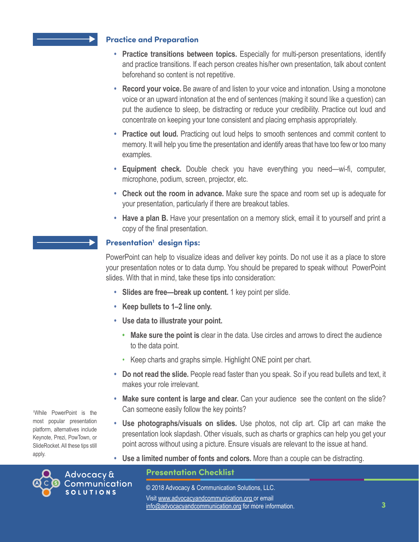## **Practice and Preparation**

- **• Practice transitions between topics.** Especially for multi-person presentations, identify and practice transitions. If each person creates his/her own presentation, talk about content beforehand so content is not repetitive.
- **• Record your voice.** Be aware of and listen to your voice and intonation. Using a monotone voice or an upward intonation at the end of sentences (making it sound like a question) can put the audience to sleep, be distracting or reduce your credibility. Practice out loud and concentrate on keeping your tone consistent and placing emphasis appropriately.
- **• Practice out loud.** Practicing out loud helps to smooth sentences and commit content to memory. It will help you time the presentation and identify areas that have too few or too many examples.
- **• Equipment check.** Double check you have everything you need—wi-fi, computer, microphone, podium, screen, projector, etc.
- **• Check out the room in advance.** Make sure the space and room set up is adequate for your presentation, particularly if there are breakout tables.
- **Have a plan B.** Have your presentation on a memory stick, email it to yourself and print a copy of the final presentation.

# **Presentation<sup>1</sup> design tips:**

PowerPoint can help to visualize ideas and deliver key points. Do not use it as a place to store your presentation notes or to data dump. You should be prepared to speak without PowerPoint slides. With that in mind, take these tips into consideration:

- **• Slides are free—break up content.** 1 key point per slide.
- **• Keep bullets to 1–2 line only.**
- **• Use data to illustrate your point.**
	- **• Make sure the point is** clear in the data. Use circles and arrows to direct the audience to the data point.
	- Keep charts and graphs simple. Highlight ONE point per chart.
- **• Do not read the slide.** People read faster than you speak. So if you read bullets and text, it makes your role irrelevant.
- **Make sure content is large and clear.** Can your audience see the content on the slide? Can someone easily follow the key points?
- **• Use photographs/visuals on slides.** Use photos, not clip art. Clip art can make the presentation look slapdash. Other visuals, such as charts or graphics can help you get your point across without using a picture. Ensure visuals are relevant to the issue at hand.
- **• Use a limited number of fonts and colors.** More than a couple can be distracting.

# **Presentation Checklist**

*[advocacyandcommunication.org](http://www.advocacyandcommunication.org/)* info@advocacyandcommunication.org for more information. **3** © 2018 Advocacy & Communication Solutions, LLC. Visit www.[advocacyandcommunication.org](http://www.advocacyandcommunication.org/) or email

1 While PowerPoint is the most popular presentation platform, alternatives include Keynote, Prezi, PowTown, or SlideRocket. All these tips still apply.